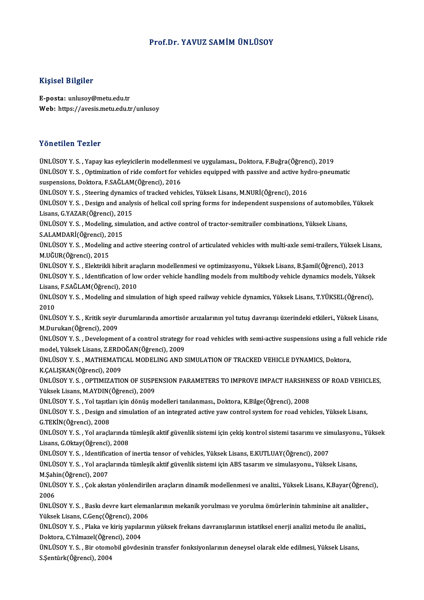# Prof.Dr. YAVUZ SAMİMÜNLÜSOY

# Kişisel Bilgiler

E-posta: unlusoy@metu.edu.tr Web: https://avesis.metu.edu.tr/unlusoy

## Yönetilen Tezler

ÜNLÜSOYY.S. ,Yapay kas eyleyicilerinmodelenmesive uygulaması.,Doktora,F.Buğra(Öğrenci),2019 ÜNLÜSOYY.S. ,Optimizationof ride comfort for vehicles equippedwith passive and active hydro-pneumatic suspensions, Doktora, F.SAĞLAM(Öğrenci), 2016 ÜNLÜSOY Y.S., Steering dynamics of tracked vehicles, Yüksek Lisans, M.NURİ(Öğrenci), 2016 suspensions, Doktora, F.SAĞLAM(Öğrenci), 2016<br>ÜNLÜSOY Y. S. , Steering dynamics of tracked vehicles, Yüksek Lisans, M.NURİ(Öğrenci), 2016<br>ÜNLÜSOY Y. S. , Design and analysis of helical coil spring forms for independent sus ÜNLÜSOY Y. S. , Steering dynamic<br>ÜNLÜSOY Y. S. , Design and analy<br>Lisans, G.YAZAR(Öğrenci), 2015<br>ÜNLÜSOV Y. S., Modeling, simulat ÜNLÜSOY Y. S. , Design and analysis of helical coil spring forms for independent suspensions of automobile:<br>Lisans, G.YAZAR(Öğrenci), 2015<br>ÜNLÜSOY Y. S. , Modeling, simulation, and active control of tractor-semitrailer com Lisans, G.YAZAR(Öğrenci), 2015<br>ÜNLÜSOY Y. S. , Modeling, simulation, and active control of tractor-semitrailer combinations, Yüksek Lisans,<br>S.ALAMDARİ(Öğrenci), 2015 ÜNLÜSOY Y. S. , Modeling, simulation, and active control of tractor-semitrailer combinations, Yüksek Lisans,<br>S.ALAMDARİ(Öğrenci), 2015<br>ÜNLÜSOY Y. S. , Modeling and active steering control of articulated vehicles with multi S.ALAMDARİ(Öğrenci), 2<br>ÜNLÜSOY Y. S. , Modeling<br>M.UĞUR(Öğrenci), 2015<br>ÜNLÜSOY V. S., Floktaildi ÜNLÜSOY Y. S. , Modeling and active steering control of articulated vehicles with multi-axle semi-trailers, Yüksek L<br>M.UĞUR(Öğrenci), 2015<br>ÜNLÜSOY Y. S. , Elektrikli hibrit araçların modellenmesi ve optimizasyonu., Yüksek M.UĞUR(Öğrenci), 2015<br>ÜNLÜSOY Y. S. , Elektrikli hibrit araçların modellenmesi ve optimizasyonu., Yüksek Lisans, B.Şamil(Öğrenci), 2013<br>ÜNLÜSOY Y. S. , Identification of low order vehicle handling models from multibody veh ÜNLÜSOY Y. S. , Elektrikli hibrit ara<br>ÜNLÜSOY Y. S. , Identification of lov<br>Lisans, F.SAĞLAM(Öğrenci), 2010<br>ÜNLÜSOY Y. S. Modeling and simu ÜNLÜSOY Y. S. , Identification of low order vehicle handling models from multibody vehicle dynamics models, Yüksek<br>Lisans, F.SAĞLAM(Öğrenci), 2010<br>ÜNLÜSOY Y. S. , Modeling and simulation of high speed railway vehicle dynam Lisans<br>ÜNLÜ:<br>2010<br>üNLÜ: ÜNLÜSOY Y. S. , Modeling and simulation of high speed railway vehicle dynamics, Yüksek Lisans, T.YÜKSEL(Öğrenci),<br>2010<br>ÜNLÜSOY Y. S. , Kritik seyir durumlarında amortisör arızalarının yol tutuş davranışı üzerindeki etkiler 2010<br>ÜNLÜSOY Y. S. , Kritik seyir durumlarında amortisör arızalarının yol tutuş davranışı üzerindeki etkileri., Yüksek Lisans,<br>M.Durukan(Öğrenci), 2009 ÜNLÜSOY Y. S. , Kritik seyir durumlarında amortisör arızalarının yol tutuş davranışı üzerindeki etkileri., Yüksek Lisans,<br>M.Durukan(Öğrenci), 2009<br>ÜNLÜSOY Y. S. , Development of a control strategy for road vehicles with se M.Durukan(Öğrenci), 2009<br>ÜNLÜSOY Y. S. , Development of a control strategy f<br>model, Yüksek Lisans, Z.ERDOĞAN(Öğrenci), 2009<br>ÜNLÜSOV Y. S., MATHEMATICAL MODELING AND S ÜNLÜSOY Y. S. , Development of a control strategy for road vehicles with semi-active suspensions using a full<br>model, Yüksek Lisans, Z.ERDOĞAN(Öğrenci), 2009<br>ÜNLÜSOY Y. S. , MATHEMATICAL MODELING AND SIMULATION OF TRACKED V model, Yüksek Lisans, Z.ERDOĞAN(Öğrenci), 2009<br>ÜNLÜSOY Y. S. , MATHEMATICAL MODELING AND SIMULATION OF TRACKED VEHICLE DYNAMICS, Doktora,<br>K.ÇALIŞKAN(Öğrenci), 2009 ÜNLÜSOY Y. S. , MATHEMATICAL MODELING AND SIMULATION OF TRACKED VEHICLE DYNAMICS, Doktora,<br>K.ÇALIŞKAN(Öğrenci), 2009<br>ÜNLÜSOY Y. S. , OPTIMIZATION OF SUSPENSION PARAMETERS TO IMPROVE IMPACT HARSHNESS OF ROAD VEHICLES,<br>Vülse K.ÇALIŞKAN(Öğrenci), 2009<br>ÜNLÜSOY Y. S. , OPTIMIZATION OF SUSPI<br>Yüksek Lisans, M.AYDIN(Öğrenci), 2009<br>ÜNLÜSOV Y. S., Vol təstilən için dönüş m ÜNLÜSOY Y. S. , OPTIMIZATION OF SUSPENSION PARAMETERS TO IMPROVE IMPACT HARSHNI<br>Yüksek Lisans, M.AYDIN(Öğrenci), 2009<br>ÜNLÜSOY Y. S. , Yol taşıtları için dönüş modelleri tanılanması., Doktora, K.Bilge(Öğrenci), 2008<br>ÜNLÜSOY Yüksek Lisans, M.AYDIN(Öğrenci), 2009<br>ÜNLÜSOY Y. S. , Yol taşıtları için dönüş modelleri tanılanması., Doktora, K.Bilge(Öğrenci), 2008<br>ÜNLÜSOY Y. S. , Design and simulation of an integrated active yaw control system for ro ÜNLÜSOY Y. S. , Yol taşıtla<br>ÜNLÜSOY Y. S. , Design ar<br>G.TEKİN(Öğrenci), 2008<br>ÜNLÜSOV Y. S., Yol arasla ÜNLÜSOY Y. S. , Design and simulation of an integrated active yaw control system for road vehicles, Yüksek Lisans,<br>G.TEKİN(Öğrenci), 2008<br>ÜNLÜSOY Y. S. , Yol araçlarında tümleşik aktif güvenlik sistemi için çekiş kontrol s G.TEKİN(Öğrenci), 2008<br>ÜNLÜSOY Y. S. , Yol araçlarında<br>Lisans, G.Oktay(Öğrenci), 2008<br>ÜNLÜSOY Y. S. , Identifisation of ÜNLÜSOY Y. S. , Yol araçlarında tümleşik aktif güvenlik sistemi için çekiş kontrol sistemi tasarımı ve sin<br>Lisans, G.Oktay(Öğrenci), 2008<br>ÜNLÜSOY Y. S. , Identification of inertia tensor of vehicles, Yüksek Lisans, E.KUTLU Lisans, G.Oktay(Öğrenci), 2008<br>ÜNLÜSOY Y. S. , Identification of inertia tensor of vehicles, Yüksek Lisans, E.KUTLUAY(Öğrenci), 2007<br>ÜNLÜSOY Y. S. , Yol araçlarında tümleşik aktif güvenlik sistemi için ABS tasarım ve simul ÜNLÜSOY Y. S. , Identifica<br>ÜNLÜSOY Y. S. , Yol araçl<br>M.Şahin(Öğrenci), 2007<br>ÜNLÜSOY Y. S. . Cok aket ÜNLÜSOY Y. S. , Yol araçlarında tümleşik aktif güvenlik sistemi için ABS tasarım ve simulasyonu., Yüksek Lisans,<br>M.Şahin(Öğrenci), 2007<br>ÜNLÜSOY Y. S. , Çok akstan yönlendirilen araçların dinamik modellenmesi ve analizi., Y M.Şahin(Öğrenci), 2007<br>ÜNLÜSOY Y. S. , Çok akst<br>2006 ÜNLÜSOY Y. S. , Çok akstan yönlendirilen araçların dinamik modellenmesi ve analizi., Yüksek Lisans, K.Bayar(Öğrenci),<br>2006<br>ÜNLÜSOY Y. S. , Baskı devre kart elemanlarının mekanik yorulması ve yorulma ömürlerinin tahminine a ÜNLÜSOY Y.S., Baskı devre kart elemanlarının mekanik yorulması ve yorulma ömürlerinin tahminine ait analizler., ÜNLÜSOY Y. S. , Baskı devre kart elemanlarının mekanik yorulması ve yorulma ömürlerinin tahminine ait analizler<br>Yüksek Lisans, C.Genç(Öğrenci), 2006<br>ÜNLÜSOY Y. S. , Plaka ve kiriş yapılarının yüksek frekans davranışlarının Yüksek Lisans, C.Genç(Öğrenci), 200<br>ÜNLÜSOY Y. S. , Plaka ve kiriş yapılaı<br>Doktora, C.Yılmazel(Öğrenci), 2004<br>ÜNLÜSOV Y. S., Bir etemebil gövdes ÜNLÜSOY Y. S. , Plaka ve kiriş yapılarının yüksek frekans davranışlarının istatiksel enerji analizi metodu ile analiz<br>Doktora, C.Yılmazel(Öğrenci), 2004<br>ÜNLÜSOY Y. S. , Bir otomobil gövdesinin transfer fonksiyonlarının den Doktora, C.Yılmazel(Öğrenci), 2004<br>ÜNLÜSOY Y. S. , Bir otomobil gövdesinin transfer fonksiyonlarının deneysel olarak elde edilmesi, Yüksek Lisans,<br>S.Şentürk(Öğrenci), 2004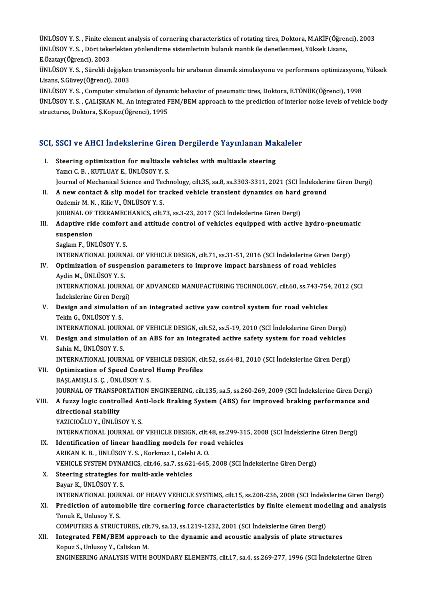ÜNLÜSOY Y. S., Finite element analysis of cornering characteristics of rotating tires, Doktora, M.AKİF(Öğrenci), 2003 ÜNLÜSOY Y. S. , Finite element analysis of cornering characteristics of rotating tires, Doktora, M.AKİF(Öğrer<br>ÜNLÜSOY Y. S. , Dört tekerlekten yönlendirme sistemlerinin bulanık mantık ile denetlenmesi, Yüksek Lisans,<br>E Öze ÜNLÜSOY Y. S. , Finite ele<br>ÜNLÜSOY Y. S. , Dört teke<br>E.Özatay(Öğrenci), 2003<br>ÜNLÜSOV Y. S. Süneldi de ÜNLÜSOY Y. S. , Dört tekerlekten yönlendirme sistemlerinin bulanık mantık ile denetlenmesi, Yüksek Lisans,<br>E.Özatay(Öğrenci), 2003<br>ÜNLÜSOY Y. S. , Sürekli değişken transmisyonlu bir arabanın dinamik simulasyonu ve performa

E.Özatay(Öğrenci), 2003<br>ÜNLÜSOY Y. S. , Sürekli değişken<br>Lisans, S.Güvey(Öğrenci), 2003<br>ÜNLÜSOY Y. S., Computer simul ÜNLÜSOY Y. S. , Sürekli değişken transmisyonlu bir arabanın dinamik simulasyonu ve performans optimizasyonu,<br>Lisans, S.Güvey(Öğrenci), 2003<br>ÜNLÜSOY Y. S. , Computer simulation of dynamic behavior of pneumatic tires, Doktor

Lisans, S.Güvey(Öğrenci), 2003<br>ÜNLÜSOY Y. S. , Computer simulation of dynamic behavior of pneumatic tires, Doktora, E.TÖNÜK(Öğrenci), 1998<br>ÜNLÜSOY Y. S. , ÇALIŞKAN M., An integrated FEM/BEM approach to the prediction of in ÜNLÜSOY Y. S. , Computer simulation of dynaı<br>ÜNLÜSOY Y. S. , ÇALIŞKAN M., An integrated F<br>structures, Doktora, Ş.Kopuz(Öğrenci), 1995

# structures, Doktora, ş.Kopuz(Ogrencı), 1995<br>SCI, SSCI ve AHCI İndekslerine Giren Dergilerde Yayınlanan Makaleler

CI, SSCI ve AHCI İndekslerine Giren Dergilerde Yayınlanan Mal<br>I. Steering optimization for multiaxle vehicles with multiaxle steering<br>Name C.B., KUTI HAVE, ÜNI ÜSOV V.S. I. Steering optimization for multiaxle vehicles with multiaxle steering Yazıcı C.B., KUTLUAY E., ÜNLÜSOY Y.S. Steering optimization for multiaxle vehicles with multiaxle steering<br>Yazıcı C. B. , KUTLUAY E., ÜNLÜSOY Y. S.<br>Journal of Mechanical Science and Technology, cilt.35, sa.8, ss.3303-3311, 2021 (SCI İndekslerine Giren Dergi)<br>A II. A new contact & slip model for tracked vehicle transient dynamics on hard ground Ozdemir M. N., Kilic V., ÜNLÜSOY Y. S. Journal of Mechanical Science and Teo<br>A new contact & slip model for tr<br>Ozdemir M. N. , Kilic V., ÜNLÜSOY Y. S.<br>JOUPNAL OF TERRAMECHANICS silt 3 A new contact & slip model for tracked vehicle transient dynamics on hard<br>Ozdemir M. N. , Kilic V., ÜNLÜSOY Y. S.<br>JOURNAL OF TERRAMECHANICS, cilt.73, ss.3-23, 2017 (SCI İndekslerine Giren Dergi) III. Adaptive ride comfort and attitude control of vehicles equipped with active hydro-pneumatic suspension **JOURNAL OF<br>Adaptive rid<br>suspension**<br>Saglam E. ÜN SaglamF.,ÜNLÜSOYY.S. INTERNATIONAL JOURNALOFVEHICLEDESIGN, cilt.71, ss.31-51,2016 (SCI İndekslerineGirenDergi) Saglam F., ÜNLÜSOY Y. S.<br>INTERNATIONAL JOURNAL OF VEHICLE DESIGN, cilt.71, ss.31-51, 2016 (SCI İndekslerine Giren De<br>IV. Optimization of suspension parameters to improve impact harshness of road vehicles<br>Ardin M. ÜNLÜSOV V INTERNATIONAL JOURN<br>Optimization of suspe<br>Aydin M., ÜNLÜSOY Y. S.<br>INTERNATIONAL JOURN Optimization of suspension parameters to improve impact harshness of road vehicles<br>Aydin M., ÜNLÜSOY Y. S.<br>INTERNATIONAL JOURNAL OF ADVANCED MANUFACTURING TECHNOLOGY, cilt.60, ss.743-754, 2012 (SCI Aydin M., ÜNLÜSOY Y. S.<br>INTERNATIONAL JOURNA<br>İndekslerine Giren Dergi)<br>Design and simulation INTERNATIONAL JOURNAL OF ADVANCED MANUFACTURING TECHNOLOGY, cilt.60, ss.743-754<br>Indekslerine Giren Dergi)<br>V. Design and simulation of an integrated active yaw control system for road vehicles<br>Telsin C. UNI USOV V. S. İndekslerine Giren Derg<br>Design and simulatio<br>Tekin G., ÜNLÜSOY Y. S.<br>INTERNATIONAL JOURI Design and simulation of an integrated active yaw control system for road vehicles<br>Tekin G., ÜNLÜSOY Y. S.<br>INTERNATIONAL JOURNAL OF VEHICLE DESIGN, cilt.52, ss.5-19, 2010 (SCI İndekslerine Giren Dergi)<br>Design and simulatio Tekin G., ÜNLÜSOY Y. S.<br>INTERNATIONAL JOURNAL OF VEHICLE DESIGN, cilt.52, ss.5-19, 2010 (SCI İndekslerine Giren Dergi)<br>VI. Design and simulation of an ABS for an integrated active safety system for road vehicles<br>Sohin INTERNATIONAL JOURN<br>Design and simulatio:<br>Sahin M., ÜNLÜSOY Y. S.<br>INTERNATIONAL JOURN Design and simulation of an ABS for an integrated active safety system for road vehicles<br>Sahin M., ÜNLÜSOY Y. S.<br>INTERNATIONAL JOURNAL OF VEHICLE DESIGN, cilt.52, ss.64-81, 2010 (SCI İndekslerine Giren Dergi)<br>Ontimiration VI . Optimization of Speed Control Hump Profiles INTERNATIONAL JOURNAL OF VI<br>Optimization of Speed Contro<br>BAŞLAMIŞLI S. Ç. , ÜNLÜSOY Y. S.<br>JOURNAL OF TRANSPORTATION VII. Optimization of Speed Control Hump Profiles<br>BAŞLAMIŞLI S. Ç. , ÜNLÜSOY Y. S.<br>JOURNAL OF TRANSPORTATION ENGINEERING, cilt.135, sa.5, ss.260-269, 2009 (SCI İndekslerine Giren Dergi) BAŞLAMIŞLI S. Ç. , ÜNLÜSOY Y. S.<br>JOURNAL OF TRANSPORTATION ENGINEERING, cilt.135, sa.5, ss.260-269, 2009 (SCI İndekslerine Giren Dergi)<br>VIII. A fuzzy logic controlled Anti-lock Braking System (ABS) for improved braking **JOURNAL OF TRANSPO**<br>**A fuzzy logic control<br>directional stability**<br>vazicioči u v -üNUüs A fuzzy logic controlled An<br>directional stability<br>YAZICIOĞLU Y., ÜNLÜSOY Y. S.<br>INTERNATIONAL JOURNAL OF directional stability<br>YAZICIOĞLU Y., ÜNLÜSOY Y. S.<br>INTERNATIONAL JOURNAL OF VEHICLE DESIGN, cilt.48, ss.299-315, 2008 (SCI İndekslerine Giren Dergi)<br>Identification of linear bandling models for road vehicles YAZICIOĞLU Y., ÜNLÜSOY Y. S.<br>INTERNATIONAL JOURNAL OF VEHICLE DESIGN, cilt.48, ss.299-31<br>IX. Identification of linear handling models for road vehicles INTERNATIONAL JOURNAL OF VEHICLE DESIGN, cilt.4<br>Identification of linear handling models for roa<br>ARIKAN K. B. , ÜNLÜSOY Y. S. , Korkmaz I., Celebi A. O.<br>VEHICLE SVSTEM DYNAMICS, cilt.46, ss.7, ss.631, 645 Identification of linear handling models for road vehicles<br>ARIKAN K. B. , ÜNLÜSOY Y. S. , Korkmaz I., Celebi A. O.<br>VEHICLE SYSTEM DYNAMICS, cilt.46, sa.7, ss.621-645, 2008 (SCI İndekslerine Giren Dergi)<br>Steening strategies ARIKAN K. B., ÜNLÜSOY Y. S., Korkmaz I., Celebi A. O.<br>VEHICLE SYSTEM DYNAMICS, cilt.46, sa.7, ss.621-645,<br>X. Steering strategies for multi-axle vehicles<br>Bayar K., ÜNLÜSOY Y. S. VEHICLE SYSTEM DYNA<br>Steering strategies fo<br>Bayar K., ÜNLÜSOY Y. S.<br>INTERNATIONAL JOURN Steering strategies for multi-axle vehicles<br>Bayar K., ÜNLÜSOY Y. S.<br>INTERNATIONAL JOURNAL OF HEAVY VEHICLE SYSTEMS, cilt.15, ss.208-236, 2008 (SCI İndekslerine Giren Dergi)<br>Predistion of automobile tire sornoring forse sha Bayar K., ÜNLÜSOY Y. S.<br>INTERNATIONAL JOURNAL OF HEAVY VEHICLE SYSTEMS, cilt.15, ss.208-236, 2008 (SCI İndekslerine Giren Dergi)<br>XI. Prediction of automobile tire cornering force characteristics by finite element modeli INTERNATIONAL JOUR<br>Prediction of autom<br>Tonuk E., Unlusoy Y. S.<br>COMBUTERS & STRUCT Prediction of automobile tire cornering force characteristics by finite element mod<br>Tonuk E., Unlusoy Y. S.<br>COMPUTERS & STRUCTURES, cilt.79, sa.13, ss.1219-1232, 2001 (SCI İndekslerine Giren Dergi)<br>Integrated EEM (PEM annu Tonuk E., Unlusoy Y. S.<br>COMPUTERS & STRUCTURES, cilt.79, sa.13, ss.1219-1232, 2001 (SCI Indekslerine Giren Dergi)<br>XII. Integrated FEM/BEM approach to the dynamic and acoustic analysis of plate structures<br>Kopuz S., Unlusoy COMPUTERS & STRUCTURES, cil<mark>t</mark><br>Integrated FEM/BEM approa<br>Kopuz S., Unlusoy Y., Caliskan M.<br>ENCINEEPINC ANALYSIS WITH ENGINEERING ANALYSIS WITH BOUNDARY ELEMENTS, cilt.17, sa.4, ss.269-277, 1996 (SCI İndekslerine Giren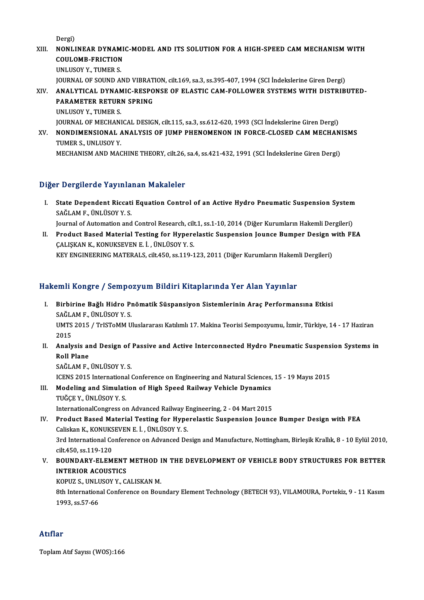Dergi)

- Dergi)<br>XIII. NONLINEAR DYNAMIC-MODEL AND ITS SOLUTION FOR A HIGH-SPEED CAM MECHANISM WITH Dergi)<br>NONLINEAR DYNAMI<br>COULOMB-FRICTION<br>UNLUSOY Y TUMER S NONLINEAR DYNAM<br>COULOMB-FRICTION<br>UNLUSOY Y., TUMER S.<br>JOUPMAL OF SOUND A COULOMB-FRICTION<br>UNLUSOY Y., TUMER S.<br>JOURNAL OF SOUND AND VIBRATION, cilt.169, sa.3, ss.395-407, 1994 (SCI İndekslerine Giren Dergi) XIV. ANALYTICAL DYNAMIC-RESPONSE OF ELASTIC CAM-FOLLOWER SYSTEMSWITH DISTRIBUTED-**JOURNAL OF SOUND AND VIBRAT<br>ANALYTICAL DYNAMIC-RESPO<br>PARAMETER RETURN SPRING<br>UNLUSOV V. TIMER S**
- ANALYTICAL DYNAN<br>PARAMETER RETURI<br>UNLUSOY Y., TUMER S.<br>JOUPNAL OF MECHANI PARAMETER RETURN SPRING<br>UNLUSOY Y., TUMER S.<br>JOURNAL OF MECHANICAL DESIGN, cilt.115, sa.3, ss.612-620, 1993 (SCI İndekslerine Giren Dergi)<br>NONDIMENSIONAL ANALYSIS OF HIMP PHENOMENON IN FORCE CLOSED CAM MECHAN
- UNLUSOY Y., TUMER S.<br>JOURNAL OF MECHANICAL DESIGN, cilt.115, sa.3, ss.612-620, 1993 (SCI İndekslerine Giren Dergi)<br>XV. NONDIMENSIONAL ANALYSIS OF JUMP PHENOMENON IN FORCE-CLOSED CAM MECHANISMS<br>TIMER S. INI USOV V **JOURNAL OF MECHAN<br>NONDIMENSIONAL A<br>TUMER S., UNLUSOY Y.<br>MECHANISM AND MAG** NONDIMENSIONAL ANALYSIS OF JUMP PHENOMENON IN FORCE-CLOSED CAM MECHAN<br>TUMER S., UNLUSOY Y.<br>MECHANISM AND MACHINE THEORY, cilt.26, sa.4, ss.421-432, 1991 (SCI İndekslerine Giren Dergi) MECHANISM AND MACHINE THEORY, cilt.26, sa.4, ss.421-432, 1991 (SCI İndekslerine Giren Dergi)<br>Diğer Dergilerde Yayınlanan Makaleler

Iger Dergilerde Yayınlanan Makaleler<br>I. State Dependent Riccati Equation Control of an Active Hydro Pneumatic Suspension System<br>SAČLAME JINI ÜSOV V S s or ghorae ray mid.<br>State Dependent Riccati<br>SAĞLAM F., ÜNLÜSOY Y. S. State Dependent Riccati Equation Control of an Active Hydro Pneumatic Suspension System<br>SAĞLAM F., ÜNLÜSOY Y. S.<br>Journal of Automation and Control Research, cilt.1, ss.1-10, 2014 (Diğer Kurumların Hakemli Dergileri)<br>Produs

SAĞLAM F., ÜNLÜSOY Y. S.<br>Journal of Automation and Control Research, cilt.1, ss.1-10, 2014 (Diğer Kurumların Hakemli Dergileri)<br>II. Product Based Material Testing for Hyperelastic Suspension Jounce Bumper Design with F Journal of Automation and Control Research, cilt<br>Product Based Material Testing for Hypere<br>ÇALIŞKAN K., KONUKSEVEN E. İ. , ÜNLÜSOY Y. S.<br>KEV ENCINEERINC MATERALS, silt 450, ss 119-1 Product Based Material Testing for Hyperelastic Suspension Jounce Bumper Design v<br>ÇALIŞKAN K., KONUKSEVEN E. İ. , ÜNLÜSOY Y. S.<br>KEY ENGINEERING MATERALS, cilt.450, ss.119-123, 2011 (Diğer Kurumların Hakemli Dergileri)

KEY ENGINEERING MATERALS, cilt.450, ss.119-123, 2011 (Diğer Kurumların Hakemli Dergileri)<br>Hakemli Kongre / Sempozyum Bildiri Kitaplarında Yer Alan Yayınlar

- akemli Kongre / Sempozyum Bildiri Kitaplarında Yer Alan Yayınlar<br>I. Birbirine Bağlı Hidro Pnömatik Süspansiyon Sistemlerinin Araç Performansına Etkisi<br>SAĞLAME İNUÜSOY Y.S SAKA KORSTO 7 SOMPO<br>Birbirine Bağlı Hidro Pı<br>SAĞLAM F., ÜNLÜSOY Y. S.<br>UMTS 2015 / TristoMM U Birbirine Bağlı Hidro Pnömatik Süspansiyon Sistemlerinin Araç Performansına Etkisi<br>SAĞLAM F., ÜNLÜSOY Y. S.<br>UMTS 2015 / TrISToMM Uluslararası Katılımlı 17. Makina Teorisi Sempozyumu, İzmir, Türkiye, 14 - 17 Haziran<br>2015 SAĞLA<br>UMTS<br>2015<br>Analy UMTS 2015 / TrISToMM Uluslararası Katılımlı 17. Makina Teorisi Sempozyumu, İzmir, Türkiye, 14 - 17 Haziran<br>2015<br>II. Analysis and Design of Passive and Active Interconnected Hydro Pneumatic Suspension Systems in<br>Rell Pl
- 2015<br>Analysis al<br>Roll Plane<br>SAČLAM E Analysis and Design of<br>Roll Plane<br>SAĞLAM F., ÜNLÜSOY Y. S.<br>ICENS 2015 International Roll Plane<br>SAĞLAM F., ÜNLÜSOY Y. S.<br>ICENS 2015 International Conference on Engineering and Natural Sciences, 15 - 19 Mayıs 2015<br>Modeling and Simulation of High Speed Bailway Vehiele Dynamics
	-

SAĞLAM F., ÜNLÜSOY Y. S.<br>ICENS 2015 International Conference on Engineering and Natural Sciences,<br>III. Modeling and Simulation of High Speed Railway Vehicle Dynamics<br>TUČCE V. ÜNLÜSOV V. S. ICENS 2015 Internationa<br>Modeling and Simulat<br>TUĞÇE Y., ÜNLÜSOY Y. S.<br>InternationalCongress of Modeling and Simulation of High Speed Railway Vehicle Dynamics<br>TUĞÇE Y., ÜNLÜSOY Y.S.<br>InternationalCongress on Advanced Railway Engineering, 2 - 04 Mart 2015<br>Product Based Material Testing for Hynorolastic Suspension Joung

- TUĞÇE Y., ÜNLÜSOY Y. S.<br>InternationalCongress on Advanced Railway Engineering, 2 04 Mart 2015<br>IV. Product Based Material Testing for Hyperelastic Suspension Jounce Bumper Design with FEA<br>Caliskan K., KONUKSEVEN E. İ., ÜN InternationalCongress on Advanced Railway E<br>Product Based Material Testing for Hype<br>Caliskan K., KONUKSEVEN E. İ. , ÜNLÜSOYY.S.<br><sup>2nd</sup> International Conference on Advanced De Product Based Material Testing for Hyperelastic Suspension Jounce Bumper Design with FEA<br>Caliskan K., KONUKSEVEN E. İ. , ÜNLÜSOY Y. S.<br>3rd International Conference on Advanced Design and Manufacture, Nottingham, Birleşik K Caliskan K., KONUKS<br>3rd International Co<br>cilt.450, ss.119-120<br>POUNDARY ELEM 3rd International Conference on Advanced Design and Manufacture, Nottingham, Birleşik Krallık, 8 - 10 Eylül 2010,<br>cilt.450, ss.119-120<br>V. BOUNDARY-ELEMENT METHOD IN THE DEVELOPMENT OF VEHICLE BODY STRUCTURES FOR BETTER<br>INT
- cilt.450, ss.119-120<br>BOUNDARY-ELEMENT<br>INTERIOR ACOUSTICS<br>KOPUZ S. UNI USOV V. G BOUNDARY-ELEMENT METHOD I<br>INTERIOR ACOUSTICS<br>KOPUZ S., UNLUSOY Y., CALISKAN M.<br><sup>9th International Conference on Bou</sup>

KOPUZ S., UNLUSOY Y., CALISKAN M.

INTERIOR ACOUSTICS<br>KOPUZ S., UNLUSOY Y., CALISKAN M.<br>8th International Conference on Boundary Element Technology (BETECH 93), VILAMOURA, Portekiz, 9 - 11 Kasım<br>1993, ss.57-66

# Atıflar

ToplamAtıf Sayısı (WOS):166